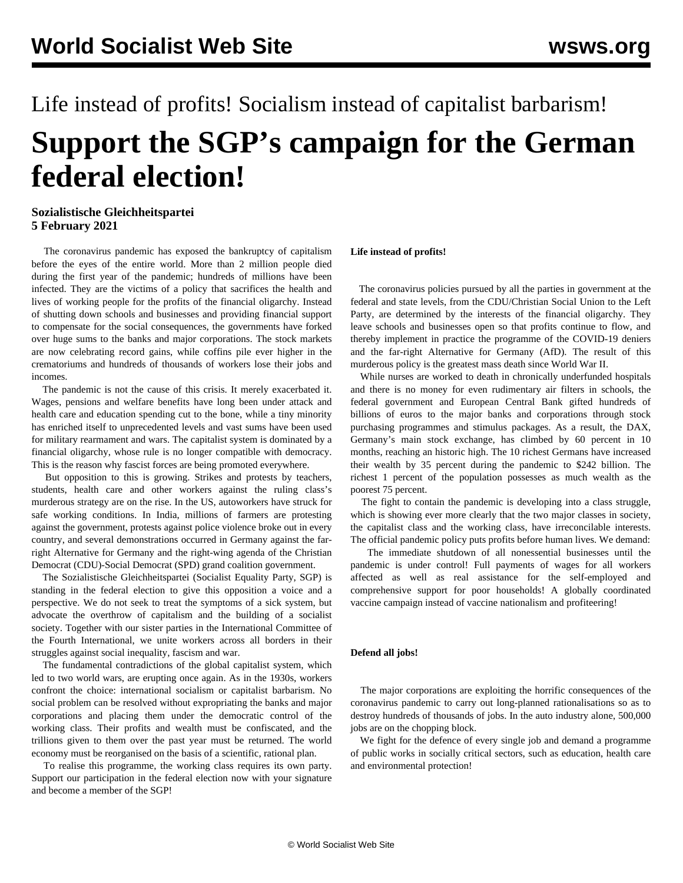# Life instead of profits! Socialism instead of capitalist barbarism! **Support the SGP's campaign for the German federal election!**

## **Sozialistische Gleichheitspartei 5 February 2021**

 The coronavirus pandemic has exposed the bankruptcy of capitalism before the eyes of the entire world. More than 2 million people died during the first year of the pandemic; hundreds of millions have been infected. They are the victims of a policy that sacrifices the health and lives of working people for the profits of the financial oligarchy. Instead of shutting down schools and businesses and providing financial support to compensate for the social consequences, the governments have forked over huge sums to the banks and major corporations. The stock markets are now celebrating record gains, while coffins pile ever higher in the crematoriums and hundreds of thousands of workers lose their jobs and incomes.

 The pandemic is not the cause of this crisis. It merely exacerbated it. Wages, pensions and welfare benefits have long been under attack and health care and education spending cut to the bone, while a tiny minority has enriched itself to unprecedented levels and vast sums have been used for military rearmament and wars. The capitalist system is dominated by a financial oligarchy, whose rule is no longer compatible with democracy. This is the reason why fascist forces are being promoted everywhere.

 But opposition to this is growing. Strikes and protests by teachers, students, health care and other workers against the ruling class's murderous strategy are on the rise. In the US, autoworkers have struck for safe working conditions. In India, millions of farmers are protesting against the government, protests against police violence broke out in every country, and several demonstrations occurred in Germany against the farright Alternative for Germany and the right-wing agenda of the Christian Democrat (CDU)-Social Democrat (SPD) grand coalition government.

 The Sozialistische Gleichheitspartei (Socialist Equality Party, SGP) is standing in the federal election to give this opposition a voice and a perspective. We do not seek to treat the symptoms of a sick system, but advocate the overthrow of capitalism and the building of a socialist society. Together with our sister parties in the International Committee of the Fourth International, we unite workers across all borders in their struggles against social inequality, fascism and war.

 The fundamental contradictions of the global capitalist system, which led to two world wars, are erupting once again. As in the 1930s, workers confront the choice: international socialism or capitalist barbarism. No social problem can be resolved without expropriating the banks and major corporations and placing them under the democratic control of the working class. Their profits and wealth must be confiscated, and the trillions given to them over the past year must be returned. The world economy must be reorganised on the basis of a scientific, rational plan.

 To realise this programme, the working class requires its own party. Support our participation in the federal election now with your signature and become a member of the SGP!

### **Life instead of profits!**

 The coronavirus policies pursued by all the parties in government at the federal and state levels, from the CDU/Christian Social Union to the Left Party, are determined by the interests of the financial oligarchy. They leave schools and businesses open so that profits continue to flow, and thereby implement in practice the programme of the COVID-19 deniers and the far-right Alternative for Germany (AfD). The result of this murderous policy is the greatest mass death since World War II.

 While nurses are worked to death in chronically underfunded hospitals and there is no money for even rudimentary air filters in schools, the federal government and European Central Bank gifted hundreds of billions of euros to the major banks and corporations through stock purchasing programmes and stimulus packages. As a result, the DAX, Germany's main stock exchange, has climbed by 60 percent in 10 months, reaching an historic high. The 10 richest Germans have increased their wealth by 35 percent during the pandemic to \$242 billion. The richest 1 percent of the population possesses as much wealth as the poorest 75 percent.

 The fight to contain the pandemic is developing into a class struggle, which is showing ever more clearly that the two major classes in society, the capitalist class and the working class, have irreconcilable interests. The official pandemic policy puts profits before human lives. We demand:

 The immediate shutdown of all nonessential businesses until the pandemic is under control! Full payments of wages for all workers affected as well as real assistance for the self-employed and comprehensive support for poor households! A globally coordinated vaccine campaign instead of vaccine nationalism and profiteering!

### **Defend all jobs!**

 The major corporations are exploiting the horrific consequences of the coronavirus pandemic to carry out long-planned rationalisations so as to destroy hundreds of thousands of jobs. In the auto industry alone, 500,000 jobs are on the chopping block.

 We fight for the defence of every single job and demand a programme of public works in socially critical sectors, such as education, health care and environmental protection!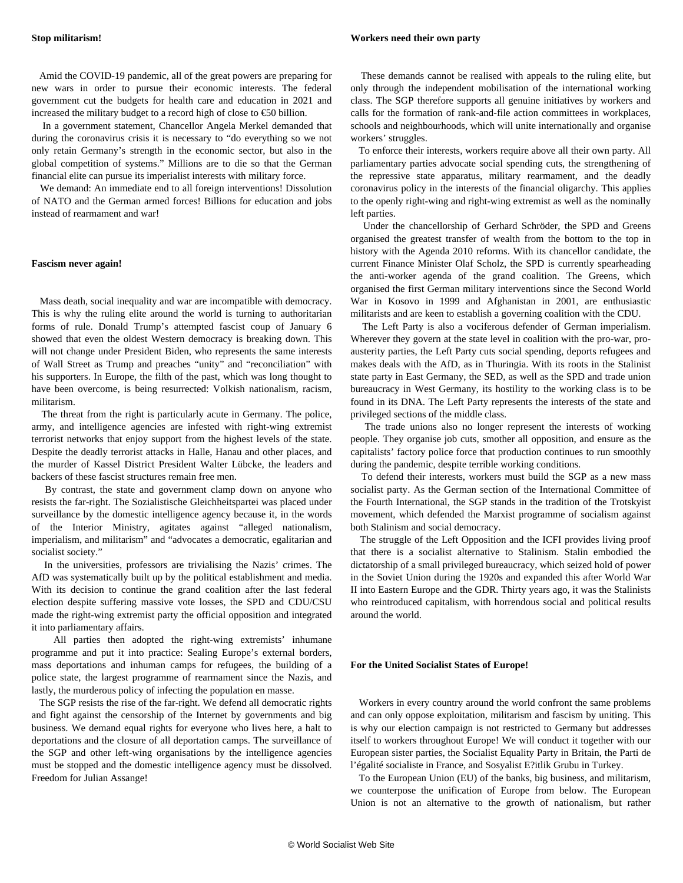Amid the COVID-19 pandemic, all of the great powers are preparing for new wars in order to pursue their economic interests. The federal government cut the budgets for health care and education in 2021 and increased the military budget to a record high of close to  $\epsilon$ 50 billion.

 In a government statement, Chancellor Angela Merkel demanded that during the coronavirus crisis it is necessary to "do everything so we not only retain Germany's strength in the economic sector, but also in the global competition of systems." Millions are to die so that the German financial elite can pursue its imperialist interests with military force.

 We demand: An immediate end to all foreign interventions! Dissolution of NATO and the German armed forces! Billions for education and jobs instead of rearmament and war!

#### **Fascism never again!**

 Mass death, social inequality and war are incompatible with democracy. This is why the ruling elite around the world is turning to authoritarian forms of rule. Donald Trump's attempted fascist coup of January 6 showed that even the oldest Western democracy is breaking down. This will not change under President Biden, who represents the same interests of Wall Street as Trump and preaches "unity" and "reconciliation" with his supporters. In Europe, the filth of the past, which was long thought to have been overcome, is being resurrected: Volkish nationalism, racism, militarism.

 The threat from the right is particularly acute in Germany. The police, army, and intelligence agencies are infested with right-wing extremist terrorist networks that enjoy support from the highest levels of the state. Despite the deadly terrorist attacks in Halle, Hanau and other places, and the murder of Kassel District President Walter Lübcke, the leaders and backers of these fascist structures remain free men.

 By contrast, the state and government clamp down on anyone who resists the far-right. The Sozialistische Gleichheitspartei was placed under surveillance by the domestic intelligence agency because it, in the words of the Interior Ministry, agitates against "alleged nationalism, imperialism, and militarism" and "advocates a democratic, egalitarian and socialist society."

 In the universities, professors are trivialising the Nazis' crimes. The AfD was systematically built up by the political establishment and media. With its decision to continue the grand coalition after the last federal election despite suffering massive vote losses, the SPD and CDU/CSU made the right-wing extremist party the official opposition and integrated it into parliamentary affairs.

 All parties then adopted the right-wing extremists' inhumane programme and put it into practice: Sealing Europe's external borders, mass deportations and inhuman camps for refugees, the building of a police state, the largest programme of rearmament since the Nazis, and lastly, the murderous policy of infecting the population en masse.

 The SGP resists the rise of the far-right. We defend all democratic rights and fight against the censorship of the Internet by governments and big business. We demand equal rights for everyone who lives here, a halt to deportations and the closure of all deportation camps. The surveillance of the SGP and other left-wing organisations by the intelligence agencies must be stopped and the domestic intelligence agency must be dissolved. Freedom for Julian Assange!

 These demands cannot be realised with appeals to the ruling elite, but only through the independent mobilisation of the international working class. The SGP therefore supports all genuine initiatives by workers and calls for the formation of rank-and-file action committees in workplaces, schools and neighbourhoods, which will unite internationally and organise workers' struggles.

 To enforce their interests, workers require above all their own party. All parliamentary parties advocate social spending cuts, the strengthening of the repressive state apparatus, military rearmament, and the deadly coronavirus policy in the interests of the financial oligarchy. This applies to the openly right-wing and right-wing extremist as well as the nominally left parties.

 Under the chancellorship of Gerhard Schröder, the SPD and Greens organised the greatest transfer of wealth from the bottom to the top in history with the Agenda 2010 reforms. With its chancellor candidate, the current Finance Minister Olaf Scholz, the SPD is currently spearheading the anti-worker agenda of the grand coalition. The Greens, which organised the first German military interventions since the Second World War in Kosovo in 1999 and Afghanistan in 2001, are enthusiastic militarists and are keen to establish a governing coalition with the CDU.

 The Left Party is also a vociferous defender of German imperialism. Wherever they govern at the state level in coalition with the pro-war, proausterity parties, the Left Party cuts social spending, deports refugees and makes deals with the AfD, as in Thuringia. With its roots in the Stalinist state party in East Germany, the SED, as well as the SPD and trade union bureaucracy in West Germany, its hostility to the working class is to be found in its DNA. The Left Party represents the interests of the state and privileged sections of the middle class.

 The trade unions also no longer represent the interests of working people. They organise job cuts, smother all opposition, and ensure as the capitalists' factory police force that production continues to run smoothly during the pandemic, despite terrible working conditions.

 To defend their interests, workers must build the SGP as a new mass socialist party. As the German section of the International Committee of the Fourth International, the SGP stands in the tradition of the Trotskyist movement, which defended the Marxist programme of socialism against both Stalinism and social democracy.

 The struggle of the Left Opposition and the ICFI provides living proof that there is a socialist alternative to Stalinism. Stalin embodied the dictatorship of a small privileged bureaucracy, which seized hold of power in the Soviet Union during the 1920s and expanded this after World War II into Eastern Europe and the GDR. Thirty years ago, it was the Stalinists who reintroduced capitalism, with horrendous social and political results around the world.

### **For the United Socialist States of Europe!**

 Workers in every country around the world confront the same problems and can only oppose exploitation, militarism and fascism by uniting. This is why our election campaign is not restricted to Germany but addresses itself to workers throughout Europe! We will conduct it together with our European sister parties, the Socialist Equality Party in Britain, the Parti de l'égalité socialiste in France, and Sosyalist E?itlik Grubu in Turkey.

 To the European Union (EU) of the banks, big business, and militarism, we counterpose the unification of Europe from below. The European Union is not an alternative to the growth of nationalism, but rather